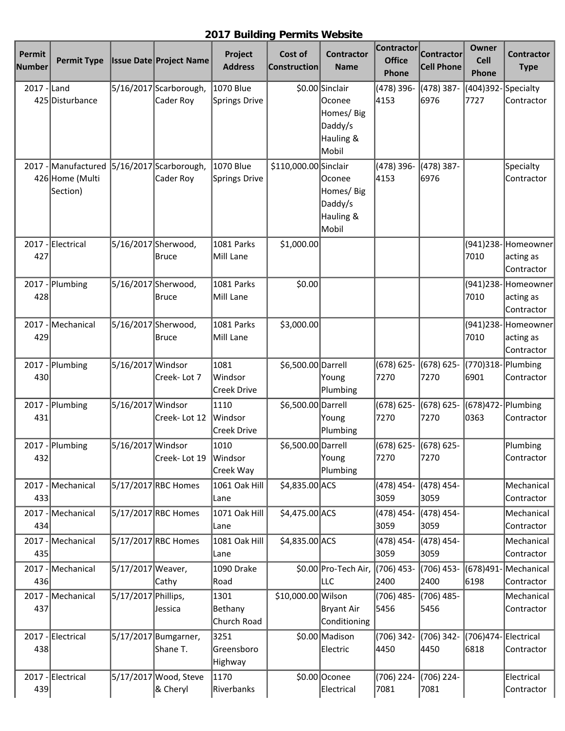## **2017 Building Permits Website**

| Permit<br><b>Number</b> | <b>Permit Type</b>                                 |                     | <b>Issue Date Project Name</b>      | Project<br><b>Address</b>             | Cost of<br><b>Construction</b> | <b>Contractor</b><br><b>Name</b>                                         | Contractor<br><b>Office</b><br>Phone | <b>Contractor</b><br><b>Cell Phone</b> | Owner<br>Cell<br><b>Phone</b> | <b>Contractor</b><br><b>Type</b>              |
|-------------------------|----------------------------------------------------|---------------------|-------------------------------------|---------------------------------------|--------------------------------|--------------------------------------------------------------------------|--------------------------------------|----------------------------------------|-------------------------------|-----------------------------------------------|
| 2017 - Land             | 425 Disturbance                                    |                     | 5/16/2017 Scarborough,<br>Cader Roy | 1070 Blue<br>Springs Drive            |                                | \$0.00 Sinclair<br>lOconee<br>Homes/Big<br>Daddy/s<br>Hauling &<br>Mobil | (478) 396-<br>4153                   | (478) 387-<br>6976                     | (404)392-Specialty<br>7727    | Contractor                                    |
|                         | 2017 - Manufactured<br>426 Home (Multi<br>Section) |                     | 5/16/2017 Scarborough,<br>Cader Roy | <b>1070 Blue</b><br>Springs Drive     | \$110,000.00 Sinclair          | <b>Oconee</b><br>Homes/Big<br>Daddy/s<br>Hauling &<br>Mobil              | (478) 396-<br>4153                   | (478) 387-<br>6976                     |                               | Specialty<br>Contractor                       |
| 427                     | 2017 - Electrical                                  |                     | 5/16/2017 Sherwood,<br>Bruce        | 1081 Parks<br>Mill Lane               | \$1,000.00                     |                                                                          |                                      |                                        | 7010                          | (941)238-Homeowner<br>acting as<br>Contractor |
| 2017<br>428             | Plumbing                                           |                     | 5/16/2017 Sherwood,<br>Bruce        | 1081 Parks<br>Mill Lane               | \$0.00                         |                                                                          |                                      |                                        | 7010                          | (941)238-Homeowner<br>acting as<br>Contractor |
| 429                     | 2017 - Mechanical                                  |                     | 5/16/2017 Sherwood,<br>Bruce        | 1081 Parks<br>Mill Lane               | \$3,000.00                     |                                                                          |                                      |                                        | 7010                          | (941)238-Homeowner<br>acting as<br>Contractor |
| 430                     | 2017 - Plumbing                                    | 5/16/2017 Windsor   | Creek-Lot 7                         | 1081<br>Windsor<br><b>Creek Drive</b> | \$6,500.00 Darrell             | Young<br>Plumbing                                                        | $(678) 625 -$<br>7270                | $(678) 625 -$<br>7270                  | (770)318-Plumbing<br>6901     | Contractor                                    |
| 431                     | 2017 - Plumbing                                    | 5/16/2017 Windsor   | Creek-Lot 12                        | 1110<br>Windsor<br><b>Creek Drive</b> | \$6,500.00 Darrell             | Young<br>Plumbing                                                        | $(678) 625 -$<br>7270                | (678) 625-<br>7270                     | (678)472- Plumbing<br>0363    | Contractor                                    |
| 432                     | 2017 - Plumbing                                    | 5/16/2017 Windsor   | Creek-Lot 19                        | 1010<br>Windsor<br>Creek Way          | \$6,500.00 Darrell             | Young<br>Plumbing                                                        | $(678) 625 -$<br>7270                | (678) 625-<br>7270                     |                               | Plumbing<br>Contractor                        |
| $2017 -$<br>433         | Mechanical                                         |                     | 5/17/2017 RBC Homes                 | 1061 Oak Hill<br>Lane                 | \$4,835.00 ACS                 |                                                                          | (478) 454-<br>3059                   | (478) 454-<br>3059                     |                               | Mechanical<br>Contractor                      |
| $2017 -$<br>434         | Mechanical                                         |                     | 5/17/2017 RBC Homes                 | 1071 Oak Hill<br>Lane                 | \$4,475.00 ACS                 |                                                                          | (478) 454-<br>3059                   | (478) 454-<br>3059                     |                               | Mechanical<br>Contractor                      |
| $2017 -$<br>435         | Mechanical                                         |                     | 5/17/2017 RBC Homes                 | 1081 Oak Hill<br>Lane                 | \$4,835.00 ACS                 |                                                                          | (478) 454-<br>3059                   | (478) 454-<br>3059                     |                               | Mechanical<br>Contractor                      |
| $2017 -$<br>436         | Mechanical                                         | 5/17/2017 Weaver,   | Cathy                               | 1090 Drake<br>Road                    |                                | \$0.00 Pro-Tech Air,<br>LLC                                              | $(706)$ 453-<br>2400                 | $(706)$ 453-<br>2400                   | (678)491<br>6198              | Mechanical<br>Contractor                      |
| 437                     | 2017 - Mechanical                                  | 5/17/2017 Phillips, | Jessica                             | 1301<br>Bethany<br>Church Road        | \$10,000.00 Wilson             | Bryant Air<br>Conditioning                                               | (706) 485-<br>5456                   | (706) 485-<br>5456                     |                               | Mechanical<br>Contractor                      |
| 438                     | 2017 - Electrical                                  |                     | 5/17/2017 Bumgarner,<br>Shane T.    | 3251<br>Greensboro<br>Highway         |                                | \$0.00 Madison<br>Electric                                               | (706) 342-<br>4450                   | (706) 342-<br>4450                     | (706)474-Electrical<br>6818   | Contractor                                    |
| 439                     | 2017 - Electrical                                  |                     | 5/17/2017 Wood, Steve<br>& Cheryl   | 1170<br>Riverbanks                    |                                | \$0.00 Oconee<br>Electrical                                              | (706) 224-<br>7081                   | (706) 224-<br>7081                     |                               | Electrical<br>Contractor                      |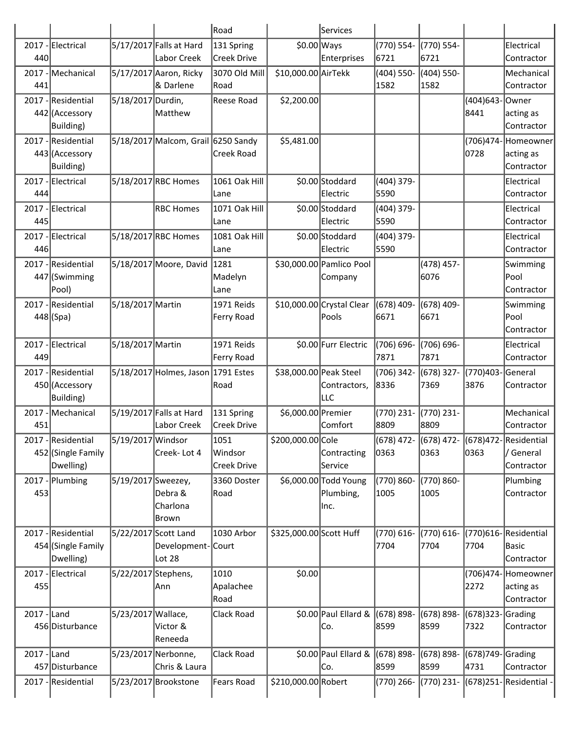|              |                                      |                      |                                    | Road                     |                         | Services                  |                    |                    |                  |                                            |
|--------------|--------------------------------------|----------------------|------------------------------------|--------------------------|-------------------------|---------------------------|--------------------|--------------------|------------------|--------------------------------------------|
|              | 2017 - Electrical                    |                      | 5/17/2017 Falls at Hard            | 131 Spring               | $$0.00$ Ways            |                           | (770) 554-         | (770) 554-         |                  | Electrical                                 |
| 440          |                                      |                      | Labor Creek                        | Creek Drive              |                         | Enterprises               | 6721               | 6721               |                  | Contractor                                 |
| $2017 -$     | Mechanical                           |                      | 5/17/2017 Aaron, Ricky             | 3070 Old Mill            | \$10,000.00 AirTekk     |                           | $(404)$ 550-       | (404) 550-         |                  | Mechanical                                 |
| 441          |                                      |                      | & Darlene                          | Road                     |                         |                           | 1582               | 1582               |                  | Contractor                                 |
|              | 2017 - Residential                   | 5/18/2017 Durdin,    |                                    | <b>Reese Road</b>        | \$2,200.00              |                           |                    |                    | (404)643         | Owner                                      |
|              | 442 (Accessory                       |                      | Matthew                            |                          |                         |                           |                    |                    | 8441             | acting as                                  |
|              | Building)                            |                      |                                    |                          |                         |                           |                    |                    |                  | Contractor                                 |
|              | 2017 - Residential<br>443 (Accessory |                      | 5/18/2017 Malcom, Grail 6250 Sandy | <b>Creek Road</b>        | \$5,481.00              |                           |                    |                    | (706)474<br>0728 | Homeowner                                  |
|              | <b>Building</b> )                    |                      |                                    |                          |                         |                           |                    |                    |                  | acting as<br>Contractor                    |
| 2017         | Electrical                           |                      | 5/18/2017 RBC Homes                | 1061 Oak Hill            |                         | \$0.00 Stoddard           | (404) 379-         |                    |                  | Electrical                                 |
| 444          |                                      |                      |                                    | Lane                     |                         | Electric                  | 5590               |                    |                  | Contractor                                 |
|              | 2017 - Electrical                    |                      | <b>RBC Homes</b>                   | 1071 Oak Hill            |                         | \$0.00 Stoddard           | (404) 379-         |                    |                  | Electrical                                 |
| 445          |                                      |                      |                                    | Lane                     |                         | Electric                  | 5590               |                    |                  | Contractor                                 |
|              | 2017 - Electrical                    |                      | 5/18/2017 RBC Homes                | 1081 Oak Hill            |                         | \$0.00 Stoddard           | (404) 379-         |                    |                  | Electrical                                 |
| 446          |                                      |                      |                                    | Lane                     |                         | Electric                  | 5590               |                    |                  | Contractor                                 |
|              | 2017 - Residential                   |                      | 5/18/2017 Moore, David             | 1281                     |                         | \$30,000.00 Pamlico Pool  |                    | (478) 457-         |                  | Swimming                                   |
|              | 447 (Swimming                        |                      |                                    | Madelyn                  |                         | Company                   |                    | 6076               |                  | Pool                                       |
|              | Pool)                                |                      |                                    | Lane                     |                         |                           |                    |                    |                  | Contractor                                 |
|              | 2017 - Residential                   | 5/18/2017 Martin     |                                    | 1971 Reids               |                         | \$10,000.00 Crystal Clear | (678) 409-         | (678) 409-         |                  | Swimming                                   |
|              | $448$ (Spa)                          |                      |                                    | Ferry Road               |                         | Pools                     | 6671               | 6671               |                  | Pool                                       |
|              |                                      |                      |                                    |                          |                         |                           |                    |                    |                  | Contractor                                 |
| 449          | 2017 - Electrical                    | 5/18/2017 Martin     |                                    | 1971 Reids<br>Ferry Road |                         | \$0.00 Furr Electric      | (706) 696-<br>7871 | (706) 696-<br>7871 |                  | Electrical<br>Contractor                   |
|              | 2017 - Residential                   |                      | 5/18/2017 Holmes, Jason 1791 Estes |                          | \$38,000.00 Peak Steel  |                           | (706) 342-         | (678) 327-         | (770)403         | General                                    |
|              | 450 (Accessory                       |                      |                                    | Road                     |                         | Contractors,              | 8336               | 7369               | 3876             | Contractor                                 |
|              | Building)                            |                      |                                    |                          |                         | LLC                       |                    |                    |                  |                                            |
|              | 2017 - Mechanical                    |                      | 5/19/2017 Falls at Hard            | 131 Spring               | \$6,000.00 Premier      |                           | (770) 231-         | (770) 231-         |                  | Mechanical                                 |
| 451          |                                      |                      | Labor Creek                        | <b>Creek Drive</b>       |                         | Comfort                   | 8809               | 8809               |                  | Contractor                                 |
|              | 2017 - Residential                   | 5/19/2017 Windsor    |                                    | 1051                     | \$200,000.00 Cole       |                           |                    |                    |                  | (678) 472- (678) 472- (678)472-Residential |
|              | 452 (Single Family                   |                      | Creek-Lot 4                        | Windsor                  |                         | Contracting               | 0363               | 0363               | 0363             | / General                                  |
|              | Dwelling)                            |                      |                                    | <b>Creek Drive</b>       |                         | Service                   |                    |                    |                  | Contractor                                 |
| $2017 -$     | Plumbing                             | 5/19/2017 Sweezey,   |                                    | 3360 Doster              |                         | \$6,000.00 Todd Young     | (770) 860-         | (770) 860-         |                  | Plumbing                                   |
| 453          |                                      |                      | Debra &                            | Road                     |                         | Plumbing,                 | 1005               | 1005               |                  | Contractor                                 |
|              |                                      |                      | Charlona<br>Brown                  |                          |                         | Inc.                      |                    |                    |                  |                                            |
|              | 2017 - Residential                   | 5/22/2017 Scott Land |                                    | 1030 Arbor               | \$325,000.00 Scott Huff |                           | (770) 616-         | (770) 616-         | (770)616         | Residential                                |
|              | 454 (Single Family                   |                      | Development-Court                  |                          |                         |                           | 7704               | 7704               | 7704             | Basic                                      |
|              | Dwelling)                            |                      | Lot $28$                           |                          |                         |                           |                    |                    |                  | Contractor                                 |
|              | 2017 - Electrical                    | 5/22/2017 Stephens,  |                                    | 1010                     | \$0.00                  |                           |                    |                    | (706)474         | Homeowner                                  |
| 455          |                                      |                      | Ann                                | Apalachee                |                         |                           |                    |                    | 2272             | acting as                                  |
|              |                                      |                      |                                    | Road                     |                         |                           |                    |                    |                  | Contractor                                 |
| $2017$ -Land |                                      | 5/23/2017 Wallace,   |                                    | Clack Road               |                         | \$0.00 Paul Ellard &      | $(678) 898 -$      | (678) 898-         | (678)323         | Grading                                    |
|              | 456 Disturbance                      |                      | Victor &                           |                          |                         | Co.                       | 8599               | 8599               | 7322             | Contractor                                 |
|              |                                      |                      | Reneeda                            |                          |                         |                           |                    |                    |                  |                                            |
| $2017 -$     | Land                                 |                      | 5/23/2017 Nerbonne,                | Clack Road               |                         | \$0.00 Paul Ellard &      | $(678) 898 -$      | (678) 898-         | (678)749         | Grading                                    |
|              | 457 Disturbance                      |                      | Chris & Laura                      |                          |                         | Co.                       | 8599               | 8599               | 4731             | Contractor                                 |
| $2017 -$     | Residential                          |                      | 5/23/2017 Brookstone               | <b>Fears Road</b>        | \$210,000.00 Robert     |                           | (770) 266-         | (770) 231-         | (678) 251-       | Residential -                              |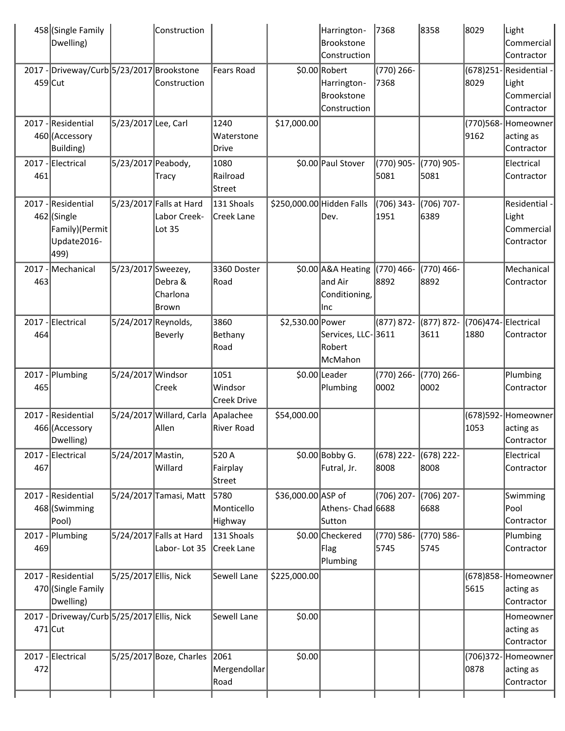| Dwelling)                                     |                                                                                                                                                                                                                                                                                                                                                                                        | Construction                  |                                                                                                                                                                                                                                                                                                                                                                                             |                                          | Brookstone<br>Construction                | 7368                                                                                                                                                                                                                                                                  |                                                                                                      |                                          | Light<br>Commercial<br>Contractor                  |
|-----------------------------------------------|----------------------------------------------------------------------------------------------------------------------------------------------------------------------------------------------------------------------------------------------------------------------------------------------------------------------------------------------------------------------------------------|-------------------------------|---------------------------------------------------------------------------------------------------------------------------------------------------------------------------------------------------------------------------------------------------------------------------------------------------------------------------------------------------------------------------------------------|------------------------------------------|-------------------------------------------|-----------------------------------------------------------------------------------------------------------------------------------------------------------------------------------------------------------------------------------------------------------------------|------------------------------------------------------------------------------------------------------|------------------------------------------|----------------------------------------------------|
|                                               |                                                                                                                                                                                                                                                                                                                                                                                        | Construction                  | <b>Fears Road</b>                                                                                                                                                                                                                                                                                                                                                                           |                                          | Harrington-<br>Brookstone<br>Construction | (770) 266-<br>7368                                                                                                                                                                                                                                                    |                                                                                                      | $(678)$ 251<br>8029                      | Residential -<br>Light<br>Commercial<br>Contractor |
| Building)                                     |                                                                                                                                                                                                                                                                                                                                                                                        |                               | 1240<br>Waterstone<br>Drive                                                                                                                                                                                                                                                                                                                                                                 | \$17,000.00                              |                                           |                                                                                                                                                                                                                                                                       |                                                                                                      | 9162                                     | (770)568-Homeowner<br>acting as<br>Contractor      |
|                                               |                                                                                                                                                                                                                                                                                                                                                                                        | Tracy                         | Railroad<br>Street                                                                                                                                                                                                                                                                                                                                                                          |                                          |                                           | 5081                                                                                                                                                                                                                                                                  | 5081                                                                                                 |                                          | Electrical<br>Contractor                           |
| Family)(Permit<br>Update2016-<br>499)         |                                                                                                                                                                                                                                                                                                                                                                                        | Labor Creek-<br>Lot 35        | Creek Lane                                                                                                                                                                                                                                                                                                                                                                                  |                                          | Dev.                                      | 1951                                                                                                                                                                                                                                                                  | 6389                                                                                                 |                                          | Residential -<br>Light<br>Commercial<br>Contractor |
|                                               |                                                                                                                                                                                                                                                                                                                                                                                        | Debra &<br>Charlona<br> Brown | 3360 Doster<br>Road                                                                                                                                                                                                                                                                                                                                                                         |                                          | and Air<br> Inc                           | 8892                                                                                                                                                                                                                                                                  | (770) 466-<br>8892                                                                                   |                                          | Mechanical<br>Contractor                           |
|                                               |                                                                                                                                                                                                                                                                                                                                                                                        | Beverly                       | 3860<br>Bethany<br>Road                                                                                                                                                                                                                                                                                                                                                                     |                                          | Robert                                    | (877) 872-                                                                                                                                                                                                                                                            | (877) 872-<br>3611                                                                                   | (706)474-<br>1880                        | Electrical<br>Contractor                           |
|                                               |                                                                                                                                                                                                                                                                                                                                                                                        | Creek                         | 1051<br>Windsor<br>Creek Drive                                                                                                                                                                                                                                                                                                                                                              |                                          |                                           | (770) 266-<br>0002                                                                                                                                                                                                                                                    | (770) 266-<br>0002                                                                                   |                                          | Plumbing<br>Contractor                             |
| Dwelling)                                     |                                                                                                                                                                                                                                                                                                                                                                                        | Allen                         | Apalachee<br>River Road                                                                                                                                                                                                                                                                                                                                                                     | \$54,000.00                              |                                           |                                                                                                                                                                                                                                                                       |                                                                                                      | $(678)$ 592<br>1053                      | Homeowner<br>acting as<br>Contractor               |
|                                               |                                                                                                                                                                                                                                                                                                                                                                                        | Willard                       | 520 A<br>Fairplay<br>Street                                                                                                                                                                                                                                                                                                                                                                 |                                          | Futral, Jr.                               | (678) 222-<br>8008                                                                                                                                                                                                                                                    | $(678)$ 222-<br>8008                                                                                 |                                          | Electrical<br>Contractor                           |
| Pool)                                         |                                                                                                                                                                                                                                                                                                                                                                                        |                               | 5780<br>Monticello<br>Highway                                                                                                                                                                                                                                                                                                                                                               |                                          | Sutton                                    | (706) 207-                                                                                                                                                                                                                                                            | (706) 207-<br>6688                                                                                   |                                          | Swimming<br>Pool<br>Contractor                     |
|                                               |                                                                                                                                                                                                                                                                                                                                                                                        | Labor-Lot 35                  | 131 Shoals                                                                                                                                                                                                                                                                                                                                                                                  |                                          | Flag                                      | (770) 586-<br>5745                                                                                                                                                                                                                                                    | (770) 586-                                                                                           |                                          | Plumbing<br>Contractor                             |
| Dwelling)                                     |                                                                                                                                                                                                                                                                                                                                                                                        |                               | Sewell Lane                                                                                                                                                                                                                                                                                                                                                                                 |                                          |                                           |                                                                                                                                                                                                                                                                       |                                                                                                      | (678)858<br>5615                         | Homeowner<br>acting as<br>Contractor               |
|                                               |                                                                                                                                                                                                                                                                                                                                                                                        |                               | Sewell Lane                                                                                                                                                                                                                                                                                                                                                                                 |                                          |                                           |                                                                                                                                                                                                                                                                       |                                                                                                      |                                          | Homeowner<br>acting as<br>Contractor               |
|                                               |                                                                                                                                                                                                                                                                                                                                                                                        |                               | Mergendollar<br>Road                                                                                                                                                                                                                                                                                                                                                                        | \$0.00                                   |                                           |                                                                                                                                                                                                                                                                       |                                                                                                      | (706)372<br>0878                         | Homeowner<br>acting as<br>Contractor               |
| 461<br>463<br>464<br>465<br>467<br>469<br>472 | 458 (Single Family<br>$459$ Cut<br>2017 - Residential<br>460 (Accessory<br>2017 - Electrical<br>2017 - Residential<br>462 (Single<br>Mechanical<br>2017 - Electrical<br>2017 - Plumbing<br>2017 - Residential<br>466 (Accessory<br>2017 - Electrical<br>2017 - Residential<br>468 (Swimming<br>-Plumbing<br>2017 - Residential<br>470 (Single Family<br>$471$ Cut<br>2017 - Electrical |                               | 2017 - Driveway/Curb 5/23/2017 Brookstone<br>5/23/2017 Lee, Carl<br>5/23/2017 Peabody,<br>5/23/2017 Falls at Hard<br>5/23/2017 Sweezey,<br>5/24/2017 Reynolds,<br>5/24/2017 Windsor<br>5/24/2017 Willard, Carla<br>5/24/2017 Mastin,<br>5/24/2017 Tamasi, Matt<br>5/24/2017 Falls at Hard<br>5/25/2017 Ellis, Nick<br>2017 - Driveway/Curb 5/25/2017 Ellis, Nick<br>5/25/2017 Boze, Charles | 1080<br>131 Shoals<br>Creek Lane<br>2061 |                                           | Harrington-<br>\$0.00 Robert<br>\$0.00 Paul Stover<br>\$250,000.00 Hidden Falls<br>\$0.00 A&A Heating<br>\$2,530.00 Power<br>McMahon<br>\$0.00 Leader<br>Plumbing<br>$$0.00$ Bobby G.<br>\$36,000.00 ASP of<br>\$0.00 Checkered<br>Plumbing<br>\$225,000.00<br>\$0.00 | (770) 905-<br>(706) 343-<br>$(770)$ 466-<br>Conditioning,<br>Services, LLC-3611<br>Athens- Chad 6688 | 8358<br>(770) 905-<br>(706) 707-<br>5745 | 8029                                               |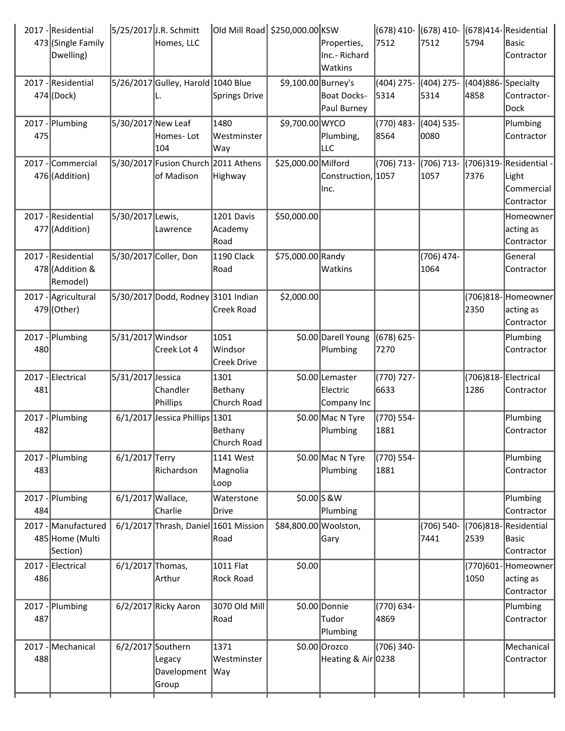|     | 2017 - Residential<br>473 (Single Family<br>Dwelling) |                    | 5/25/2017 J.R. Schmitt<br>Homes, LLC              | Old Mill Road  \$250,000.00 KSW       |                       | Properties,<br>Inc.- Richard<br>Watkins    | (678) 410-<br>7512   | 7512                  | 5794                       | (678) 410- (678) 414- Residential<br>Basic<br>Contractor  |
|-----|-------------------------------------------------------|--------------------|---------------------------------------------------|---------------------------------------|-----------------------|--------------------------------------------|----------------------|-----------------------|----------------------------|-----------------------------------------------------------|
|     | 2017 - Residential<br>474 (Dock)                      |                    | 5/26/2017 Gulley, Harold 1040 Blue                | Springs Drive                         | \$9,100.00 Burney's   | Boat Docks-<br>Paul Burney                 | $(404)$ 275-<br>5314 | $(404)$ 275-<br>5314  | (404)886-Specialty<br>4858 | Contractor-<br>Dock                                       |
| 475 | 2017 - Plumbing                                       | 5/30/2017 New Leaf | Homes-Lot<br>104                                  | 1480<br>Westminster<br>Way            | \$9,700.00 WYCO       | Plumbing,<br>LLC                           | (770) 483-<br>8564   | $(404) 535 -$<br>0080 |                            | Plumbing<br>Contractor                                    |
|     | 2017 - Commercial<br>476 (Addition)                   |                    | 5/30/2017 Fusion Church 2011 Athens<br>of Madison | Highway                               | \$25,000.00 Milford   | Construction, 1057<br>lnc.                 | (706) 713-           | $(706) 713 -$<br>1057 | 7376                       | (706)319-Residential<br>Light<br>Commercial<br>Contractor |
|     | 2017 - Residential<br>477 (Addition)                  | 5/30/2017 Lewis,   | Lawrence                                          | 1201 Davis<br>Academy<br>Road         | \$50,000.00           |                                            |                      |                       |                            | Homeowner<br>acting as<br>Contractor                      |
|     | 2017 - Residential<br>478 (Addition &<br>Remodel)     |                    | 5/30/2017 Coller, Don                             | 1190 Clack<br>Road                    | \$75,000.00 Randy     | Watkins                                    |                      | (706) 474-<br>1064    |                            | General<br>Contractor                                     |
|     | 2017 - Agricultural<br>479 (Other)                    |                    | 5/30/2017 Dodd, Rodney 3101 Indian                | <b>Creek Road</b>                     | \$2,000.00            |                                            |                      |                       | 2350                       | (706)818- Homeowner<br>acting as<br>Contractor            |
| 480 | 2017 - Plumbing                                       | 5/31/2017 Windsor  | Creek Lot 4                                       | 1051<br>Windsor<br><b>Creek Drive</b> |                       | \$0.00 Darell Young<br>Plumbing            | (678) 625-<br>7270   |                       |                            | Plumbing<br>Contractor                                    |
| 481 | 2017 - Electrical                                     | 5/31/2017 Jessica  | Chandler<br>Phillips                              | 1301<br>Bethany<br>Church Road        |                       | \$0.00 Lemaster<br>Electric<br>Company Inc | (770) 727-<br>6633   |                       | 1286                       | (706)818-Electrical<br>Contractor                         |
| 482 | 2017 - Plumbing                                       |                    | 6/1/2017 Jessica Phillips 1301                    | Bethany<br>Church Road                |                       | \$0.00 Mac N Tyre<br>Plumbing              | (770) 554-<br>1881   |                       |                            | Plumbing<br>Contractor                                    |
| 483 | 2017 - Plumbing                                       | 6/1/2017 Terry     | Richardson                                        | 1141 West<br>Magnolia<br>Loop         |                       | \$0.00 Mac N Tyre<br>Plumbing              | (770) 554-<br>1881   |                       |                            | Plumbing<br>Contractor                                    |
| 484 | 2017 - Plumbing                                       | 6/1/2017 Wallace,  | Charlie                                           | Waterstone<br>Drive                   | $$0.00$ S & W         | Plumbing                                   |                      |                       |                            | Plumbing<br>Contractor                                    |
|     | 2017 - Manufactured<br>485 Home (Multi<br>Section)    |                    | $6/1/2017$ Thrash, Daniel 1601 Mission            | Road                                  | \$84,800.00 Woolston, | Gary                                       |                      | (706) 540-<br>7441    | $(706)818 -$<br>2539       | Residential<br> Basic<br>Contractor                       |
| 486 | 2017 - Electrical                                     | $6/1/2017$ Thomas, | Arthur                                            | 1011 Flat<br>Rock Road                | \$0.00                |                                            |                      |                       | 1050                       | (770)601-Homeowner<br>acting as<br>Contractor             |
| 487 | 2017 - Plumbing                                       |                    | $6/2/2017$ Ricky Aaron                            | 3070 Old Mill<br> Road                |                       | \$0.00 Donnie<br>Tudor<br>Plumbing         | (770) 634-<br>4869   |                       |                            | Plumbing<br>Contractor                                    |
| 488 | 2017 - Mechanical                                     | 6/2/2017 Southern  | Legacy<br>Davelopment   Way<br>Group              | 1371<br>Westminster                   |                       | \$0.00 Orozco<br>Heating & Air 0238        | (706) 340-           |                       |                            | Mechanical<br>Contractor                                  |